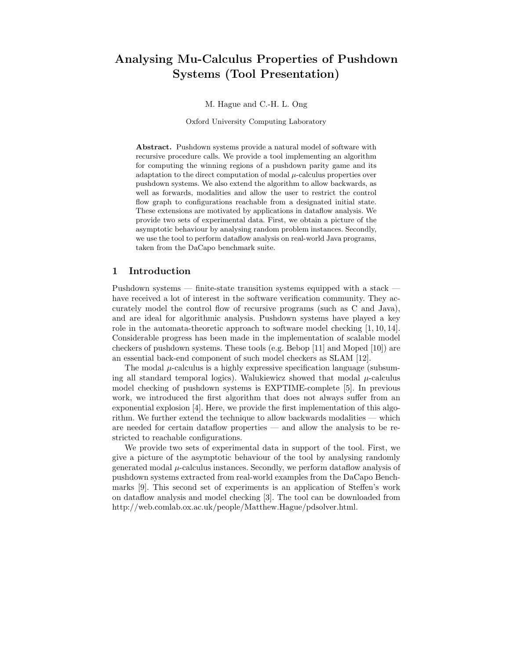# Analysing Mu-Calculus Properties of Pushdown Systems (Tool Presentation)

M. Hague and C.-H. L. Ong

Oxford University Computing Laboratory

Abstract. Pushdown systems provide a natural model of software with recursive procedure calls. We provide a tool implementing an algorithm for computing the winning regions of a pushdown parity game and its adaptation to the direct computation of modal  $\mu$ -calculus properties over pushdown systems. We also extend the algorithm to allow backwards, as well as forwards, modalities and allow the user to restrict the control flow graph to configurations reachable from a designated initial state. These extensions are motivated by applications in dataflow analysis. We provide two sets of experimental data. First, we obtain a picture of the asymptotic behaviour by analysing random problem instances. Secondly, we use the tool to perform dataflow analysis on real-world Java programs, taken from the DaCapo benchmark suite.

### 1 Introduction

Pushdown systems — finite-state transition systems equipped with a stack have received a lot of interest in the software verification community. They accurately model the control flow of recursive programs (such as C and Java), and are ideal for algorithmic analysis. Pushdown systems have played a key role in the automata-theoretic approach to software model checking [1, 10, 14]. Considerable progress has been made in the implementation of scalable model checkers of pushdown systems. These tools (e.g. Bebop [11] and Moped [10]) are an essential back-end component of such model checkers as SLAM [12].

The modal  $\mu$ -calculus is a highly expressive specification language (subsuming all standard temporal logics). Walukiewicz showed that modal  $\mu$ -calculus model checking of pushdown systems is EXPTIME-complete [5]. In previous work, we introduced the first algorithm that does not always suffer from an exponential explosion [4]. Here, we provide the first implementation of this algorithm. We further extend the technique to allow backwards modalities — which are needed for certain dataflow properties — and allow the analysis to be restricted to reachable configurations.

We provide two sets of experimental data in support of the tool. First, we give a picture of the asymptotic behaviour of the tool by analysing randomly generated modal  $\mu$ -calculus instances. Secondly, we perform dataflow analysis of pushdown systems extracted from real-world examples from the DaCapo Benchmarks [9]. This second set of experiments is an application of Steffen's work on dataflow analysis and model checking [3]. The tool can be downloaded from http://web.comlab.ox.ac.uk/people/Matthew.Hague/pdsolver.html.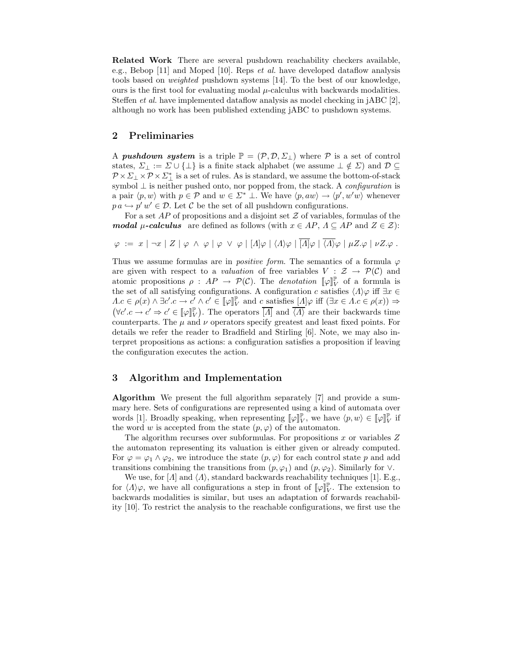Related Work There are several pushdown reachability checkers available, e.g., Bebop [11] and Moped [10]. Reps et al. have developed dataflow analysis tools based on weighted pushdown systems [14]. To the best of our knowledge, ours is the first tool for evaluating modal  $\mu$ -calculus with backwards modalities. Steffen et al. have implemented dataflow analysis as model checking in jABC [2], although no work has been published extending jABC to pushdown systems.

### 2 Preliminaries

A **pushdown system** is a triple  $\mathbb{P} = (\mathcal{P}, \mathcal{D}, \Sigma_{\perp})$  where  $\mathcal{P}$  is a set of control states,  $\Sigma_{\perp} := \Sigma \cup {\perp}$  is a finite stack alphabet (we assume  $\perp \notin \Sigma$ ) and  $\mathcal{D} \subseteq$  $\mathcal{P} \times \Sigma_{\perp} \times \mathcal{P} \times \Sigma_{\perp}^{*}$  is a set of rules. As is standard, we assume the bottom-of-stack symbol  $\perp$  is neither pushed onto, nor popped from, the stack. A *configuration* is a pair  $\langle p, w \rangle$  with  $p \in \mathcal{P}$  and  $w \in \Sigma^*$  ⊥. We have  $\langle p, aw \rangle \to \langle p', w'w \rangle$  whenever  $p \, a \hookrightarrow p' \, w' \in \mathcal{D}$ . Let C be the set of all pushdown configurations.

For a set  $AP$  of propositions and a disjoint set  $Z$  of variables, formulas of the modal  $\mu$ -calculus are defined as follows (with  $x \in AP$ ,  $\Lambda \subseteq AP$  and  $Z \in \mathcal{Z}$ ):

$$
\varphi := x \mid \neg x \mid Z \mid \varphi \land \varphi \mid \varphi \lor \varphi \mid [A] \varphi \mid \langle A \rangle \varphi \mid \overline{[A]} \varphi \mid \overline{\langle A \rangle} \varphi \mid \mu Z.\varphi \mid \nu Z.\varphi.
$$

Thus we assume formulas are in *positive form*. The semantics of a formula  $\varphi$ are given with respect to a *valuation* of free variables  $V : \mathcal{Z} \rightarrow \mathcal{P}(\mathcal{C})$  and atomic propositions  $\rho : AP \to \mathcal{P}(\mathcal{C})$ . The *denotation*  $[\![\varphi]\!]_V^{\mathbb{P}}$  of a formula is the set of all satisfying configurations. A configuration c satisfies  $\langle \Lambda \rangle \varphi$  iff  $\exists x \in \mathbb{R}$  $\Lambda.c \in \rho(x) \land \exists c'.c \rightarrow c' \land c' \in [\![\varphi]\!]_V^{\mathbb{P}}$  and  $c$  satisfies  $[\![\Lambda]\varphi \text{ iff } (\exists x \in \Lambda.c \in \rho(x)) \Rightarrow$  $(\forall c'. c \rightarrow c' \Rightarrow c' \in [\![\varphi]\!]_V^{\mathbb{P}})$ . The operators  $\overline{[A]}$  and  $\overline{\langle A \rangle}$  are their backwards time counterparts. The  $\mu$  and  $\nu$  operators specify greatest and least fixed points. For details we refer the reader to Bradfield and Stirling [6]. Note, we may also interpret propositions as actions: a configuration satisfies a proposition if leaving the configuration executes the action.

## 3 Algorithm and Implementation

Algorithm We present the full algorithm separately [7] and provide a summary here. Sets of configurations are represented using a kind of automata over words [1]. Broadly speaking, when representing  $[\![\varphi]\!]_V^{\mathbb{P}},$  we have  $\langle p, w \rangle \in [\![\varphi]\!]_V^{\mathbb{P}}$  if the word w is accepted from the state  $(p, \varphi)$  of the automaton.

The algorithm recurses over subformulas. For propositions  $x$  or variables  $Z$ the automaton representing its valuation is either given or already computed. For  $\varphi = \varphi_1 \wedge \varphi_2$ , we introduce the state  $(p, \varphi)$  for each control state p and add transitions combining the transitions from  $(p, \varphi_1)$  and  $(p, \varphi_2)$ . Similarly for ∨.

We use, for  $\Lambda$  and  $\Lambda$ , standard backwards reachability techniques [1]. E.g., for  $\langle \Lambda \rangle \varphi$ , we have all configurations a step in front of  $\llbracket \varphi \rrbracket_V^{\mathbb{P}}$ . The extension to backwards modalities is similar, but uses an adaptation of forwards reachability [10]. To restrict the analysis to the reachable configurations, we first use the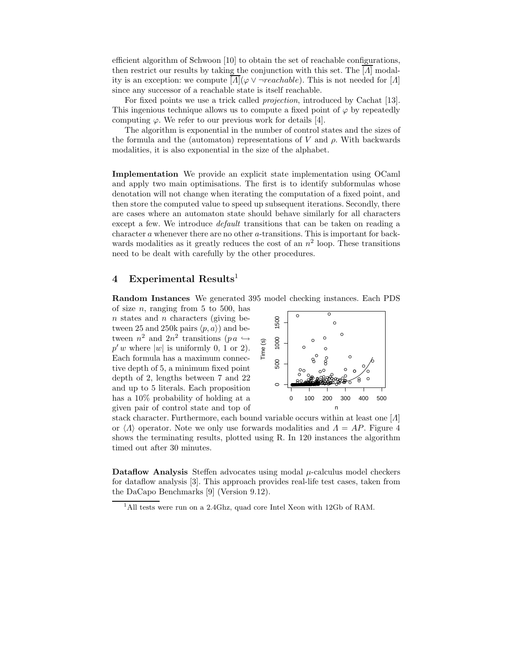efficient algorithm of Schwoon [10] to obtain the set of reachable configurations, then restrict our results by taking the conjunction with this set. The  $\lbrack A \rbrack$  modality is an exception: we compute  $\left[\Lambda\right](\varphi \vee \neg reachable)$ . This is not needed for  $\left[\Lambda\right]$ since any successor of a reachable state is itself reachable.

For fixed points we use a trick called projection, introduced by Cachat [13]. This ingenious technique allows us to compute a fixed point of  $\varphi$  by repeatedly computing  $\varphi$ . We refer to our previous work for details [4].

The algorithm is exponential in the number of control states and the sizes of the formula and the (automaton) representations of V and  $\rho$ . With backwards modalities, it is also exponential in the size of the alphabet.

Implementation We provide an explicit state implementation using OCaml and apply two main optimisations. The first is to identify subformulas whose denotation will not change when iterating the computation of a fixed point, and then store the computed value to speed up subsequent iterations. Secondly, there are cases where an automaton state should behave similarly for all characters except a few. We introduce *default* transitions that can be taken on reading a character a whenever there are no other a-transitions. This is important for backwards modalities as it greatly reduces the cost of an  $n^2$  loop. These transitions need to be dealt with carefully by the other procedures.

# 4 Experimental Results<sup>1</sup>

Random Instances We generated 395 model checking instances. Each PDS

of size  $n$ , ranging from 5 to 500, has  $n$  states and  $n$  characters (giving between 25 and 250k pairs  $\langle p, a \rangle$  and between  $n^2$  and  $2n^2$  transitions  $(p \alpha \hookrightarrow$  $p' w$  where  $|w|$  is uniformly 0, 1 or 2). Each formula has a maximum connective depth of 5, a minimum fixed point depth of 2, lengths between 7 and 22 and up to 5 literals. Each proposition has a 10% probability of holding at a given pair of control state and top of



stack character. Furthermore, each bound variable occurs within at least one  $\vert \Lambda \vert$ or  $\langle \Lambda \rangle$  operator. Note we only use forwards modalities and  $\Lambda = AP$ . Figure 4 shows the terminating results, plotted using R. In 120 instances the algorithm timed out after 30 minutes.

Dataflow Analysis Steffen advocates using modal  $\mu$ -calculus model checkers for dataflow analysis [3]. This approach provides real-life test cases, taken from the DaCapo Benchmarks [9] (Version 9.12).

<sup>&</sup>lt;sup>1</sup>All tests were run on a 2.4Ghz, quad core Intel Xeon with 12Gb of RAM.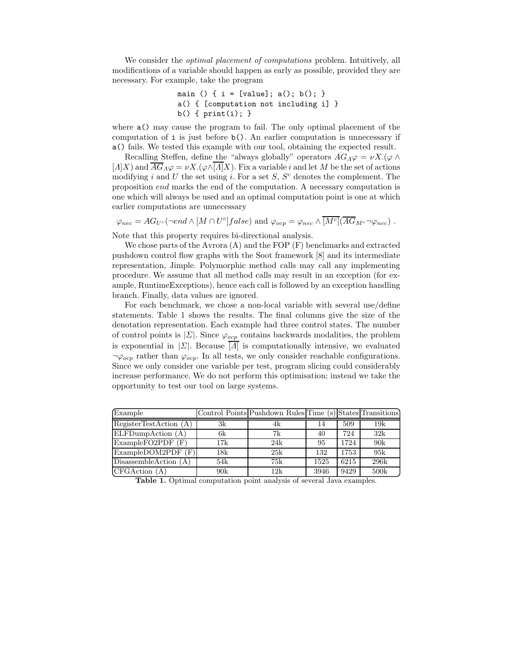We consider the *optimal placement of computations* problem. Intuitively, all modifications of a variable should happen as early as possible, provided they are necessary. For example, take the program

main () { i = [value]; a(); b(); } a() { [computation not including i] } b() { print(i); }

where a() may cause the program to fail. The only optimal placement of the computation of i is just before b(). An earlier computation is unnecessary if a() fails. We tested this example with our tool, obtaining the expected result.

Recalling Steffen, define the "always globally" operators  $AG_A\varphi = \nu X.(\varphi \wedge$  $[A]X$ ) and  $\overline{AG}_A\varphi = \nu X.(\varphi \wedge \overline{[A]}X)$ . Fix a variable i and let M be the set of actions modifying i and U the set using i. For a set  $S, S<sup>c</sup>$  denotes the complement. The proposition end marks the end of the computation. A necessary computation is one which will always be used and an optimal computation point is one at which earlier computations are unnecessary

 $\varphi_{nec} = AG_{U^c}(\neg end \wedge [M \cap U^c] false)$  and  $\varphi_{ocp} = \varphi_{nec} \wedge \overline{[M^c]}(\overline{AG}_{M^c} \neg \varphi_{nec})$ .

Note that this property requires bi-directional analysis.

We chose parts of the Avrora  $(A)$  and the FOP  $(F)$  benchmarks and extracted pushdown control flow graphs with the Soot framework [8] and its intermediate representation, Jimple. Polymorphic method calls may call any implementing procedure. We assume that all method calls may result in an exception (for example, RuntimeExceptions), hence each call is followed by an exception handling branch. Finally, data values are ignored.

For each benchmark, we chose a non-local variable with several use/define statements. Table 1 shows the results. The final columns give the size of the denotation representation. Each example had three control states. The number of control points is  $|\Sigma|$ . Since  $\varphi_{ocp}$  contains backwards modalities, the problem is exponential in  $|\Sigma|$ . Because  $\overline{[A]}$  is computationally intensive, we evaluated  $\neg \varphi_{ocp}$  rather than  $\varphi_{ocp}$ . In all tests, we only consider reachable configurations. Since we only consider one variable per test, program slicing could considerably increase performance. We do not perform this optimisation; instead we take the opportunity to test our tool on large systems.

| Example                        |     | Control Points Pushdown Rules Time (s) States Transitions |      |      |      |
|--------------------------------|-----|-----------------------------------------------------------|------|------|------|
| RegisterTestAction (A)         | 3k  | 4k                                                        | 14   | 509  | 19k  |
| ELFDumpAction (A)              | 6k  | 7k                                                        | 40   | 724  | 32k  |
| $Example$ FO2PDF $(F)$         | 17k | 24k                                                       | 95   | 1724 | 90k  |
| ExampleDOM2PDF (F)             | 18k | 25k                                                       | 132  | 1753 | 95k  |
| $\text{DissasembleAction (A)}$ | 54k | 75k                                                       | 1525 | 6215 | 296k |
| CFGAction (A)                  | 90k | 12k                                                       | 3946 | 9429 | 500k |

Table 1. Optimal computation point analysis of several Java examples.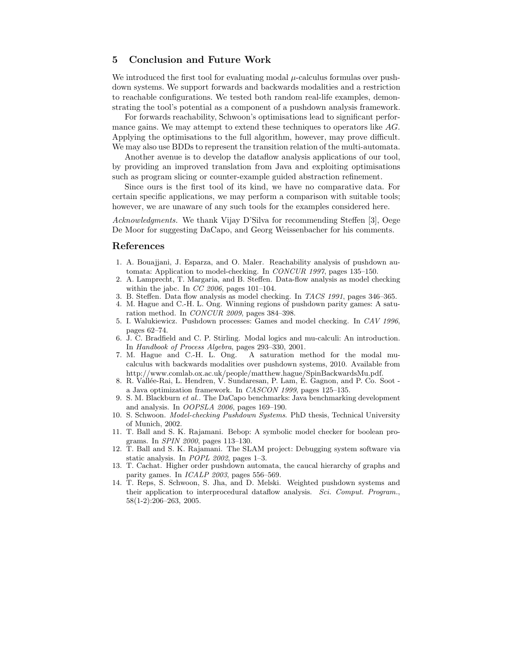## 5 Conclusion and Future Work

We introduced the first tool for evaluating modal  $\mu$ -calculus formulas over pushdown systems. We support forwards and backwards modalities and a restriction to reachable configurations. We tested both random real-life examples, demonstrating the tool's potential as a component of a pushdown analysis framework.

For forwards reachability, Schwoon's optimisations lead to significant performance gains. We may attempt to extend these techniques to operators like AG. Applying the optimisations to the full algorithm, however, may prove difficult. We may also use BDDs to represent the transition relation of the multi-automata.

Another avenue is to develop the dataflow analysis applications of our tool, by providing an improved translation from Java and exploiting optimisations such as program slicing or counter-example guided abstraction refinement.

Since ours is the first tool of its kind, we have no comparative data. For certain specific applications, we may perform a comparison with suitable tools; however, we are unaware of any such tools for the examples considered here.

Acknowledgments. We thank Vijay D'Silva for recommending Steffen [3], Oege De Moor for suggesting DaCapo, and Georg Weissenbacher for his comments.

#### References

- 1. A. Bouajjani, J. Esparza, and O. Maler. Reachability analysis of pushdown automata: Application to model-checking. In CONCUR 1997, pages 135–150.
- 2. A. Lamprecht, T. Margaria, and B. Steffen. Data-flow analysis as model checking within the jabc. In  $CC$  2006, pages 101-104.
- 3. B. Steffen. Data flow analysis as model checking. In TACS 1991, pages 346–365.
- 4. M. Hague and C.-H. L. Ong. Winning regions of pushdown parity games: A saturation method. In CONCUR 2009, pages 384–398.
- 5. I. Walukiewicz. Pushdown processes: Games and model checking. In CAV 1996, pages 62–74.
- 6. J. C. Bradfield and C. P. Stirling. Modal logics and mu-calculi: An introduction. In Handbook of Process Algebra, pages 293–330, 2001.<br>7. M. Hague and C.-H. L. Ong. A saturation me
- A saturation method for the modal mucalculus with backwards modalities over pushdown systems, 2010. Available from http://www.comlab.ox.ac.uk/people/matthew.hague/SpinBackwardsMu.pdf.
- 8. R. Vallée-Rai, L. Hendren, V. Sundaresan, P. Lam, E. Gagnon, and P. Co. Soot a Java optimization framework. In CASCON 1999, pages 125–135.
- 9. S. M. Blackburn et al.. The DaCapo benchmarks: Java benchmarking development and analysis. In OOPSLA 2006, pages 169–190.
- 10. S. Schwoon. Model-checking Pushdown Systems. PhD thesis, Technical University of Munich, 2002.
- 11. T. Ball and S. K. Rajamani. Bebop: A symbolic model checker for boolean programs. In SPIN 2000, pages 113–130.
- 12. T. Ball and S. K. Rajamani. The SLAM project: Debugging system software via static analysis. In POPL 2002, pages 1-3.
- 13. T. Cachat. Higher order pushdown automata, the caucal hierarchy of graphs and parity games. In *ICALP 2003*, pages 556-569.
- 14. T. Reps, S. Schwoon, S. Jha, and D. Melski. Weighted pushdown systems and their application to interprocedural dataflow analysis. Sci. Comput. Program., 58(1-2):206–263, 2005.